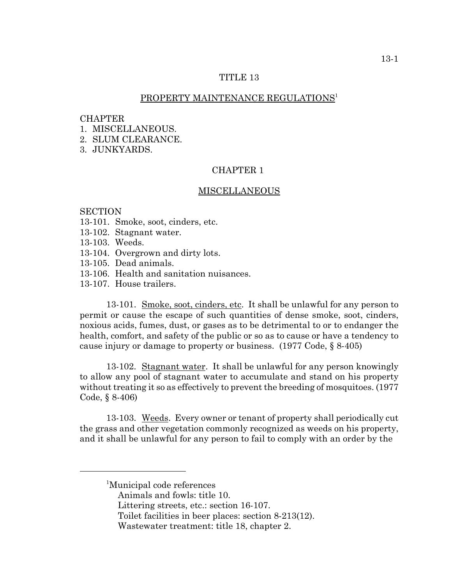# TITLE 13

### PROPERTY MAINTENANCE REGULATIONS<sup>1</sup>

#### CHAPTER

- 1 MISCELLANEOUS
- 2. SLUM CLEARANCE.
- 3. JUNKYARDS.

# CHAPTER 1

#### MISCELLANEOUS

#### **SECTION**

- 13-101. Smoke, soot, cinders, etc.
- 13-102. Stagnant water.
- 13-103. Weeds.
- 13-104. Overgrown and dirty lots.
- 13-105. Dead animals.
- 13-106. Health and sanitation nuisances.
- 13-107. House trailers.

13-101. Smoke, soot, cinders, etc. It shall be unlawful for any person to permit or cause the escape of such quantities of dense smoke, soot, cinders, noxious acids, fumes, dust, or gases as to be detrimental to or to endanger the health, comfort, and safety of the public or so as to cause or have a tendency to cause injury or damage to property or business. (1977 Code, § 8-405)

13-102. Stagnant water. It shall be unlawful for any person knowingly to allow any pool of stagnant water to accumulate and stand on his property without treating it so as effectively to prevent the breeding of mosquitoes. (1977 Code, § 8-406)

13-103. Weeds. Every owner or tenant of property shall periodically cut the grass and other vegetation commonly recognized as weeds on his property, and it shall be unlawful for any person to fail to comply with an order by the

<sup>1</sup> Municipal code references

Animals and fowls: title 10.

Littering streets, etc.: section 16-107.

Toilet facilities in beer places: section 8-213(12).

Wastewater treatment: title 18, chapter 2.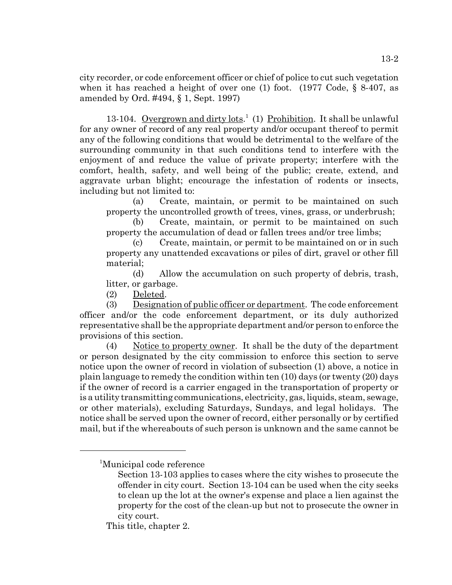city recorder, or code enforcement officer or chief of police to cut such vegetation when it has reached a height of over one (1) foot. (1977 Code,  $\S$  8-407, as amended by Ord. #494, § 1, Sept. 1997)

13-104. Overgrown and dirty lots.<sup>1</sup> (1) Prohibition. It shall be unlawful for any owner of record of any real property and/or occupant thereof to permit any of the following conditions that would be detrimental to the welfare of the surrounding community in that such conditions tend to interfere with the enjoyment of and reduce the value of private property; interfere with the comfort, health, safety, and well being of the public; create, extend, and aggravate urban blight; encourage the infestation of rodents or insects, including but not limited to:

(a) Create, maintain, or permit to be maintained on such property the uncontrolled growth of trees, vines, grass, or underbrush;

(b) Create, maintain, or permit to be maintained on such property the accumulation of dead or fallen trees and/or tree limbs;

(c) Create, maintain, or permit to be maintained on or in such property any unattended excavations or piles of dirt, gravel or other fill material;

(d) Allow the accumulation on such property of debris, trash, litter, or garbage.

(2) Deleted.

(3) Designation of public officer or department. The code enforcement officer and/or the code enforcement department, or its duly authorized representative shall be the appropriate department and/or person to enforce the provisions of this section.

(4) Notice to property owner. It shall be the duty of the department or person designated by the city commission to enforce this section to serve notice upon the owner of record in violation of subsection (1) above, a notice in plain language to remedy the condition within ten (10) days (or twenty (20) days if the owner of record is a carrier engaged in the transportation of property or is a utility transmitting communications, electricity, gas, liquids, steam, sewage, or other materials), excluding Saturdays, Sundays, and legal holidays. The notice shall be served upon the owner of record, either personally or by certified mail, but if the whereabouts of such person is unknown and the same cannot be

<sup>1</sup> Municipal code reference

Section 13-103 applies to cases where the city wishes to prosecute the offender in city court. Section 13-104 can be used when the city seeks to clean up the lot at the owner's expense and place a lien against the property for the cost of the clean-up but not to prosecute the owner in city court.

This title, chapter 2.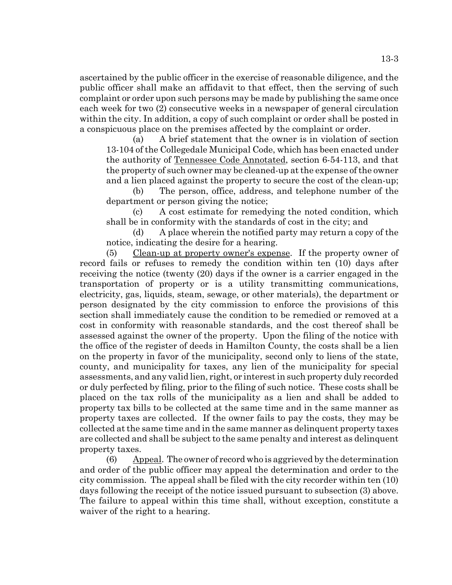ascertained by the public officer in the exercise of reasonable diligence, and the public officer shall make an affidavit to that effect, then the serving of such complaint or order upon such persons may be made by publishing the same once each week for two (2) consecutive weeks in a newspaper of general circulation within the city. In addition, a copy of such complaint or order shall be posted in a conspicuous place on the premises affected by the complaint or order.

(a) A brief statement that the owner is in violation of section 13-104 of the Collegedale Municipal Code, which has been enacted under the authority of Tennessee Code Annotated, section 6-54-113, and that the property of such owner may be cleaned-up at the expense of the owner and a lien placed against the property to secure the cost of the clean-up;

(b) The person, office, address, and telephone number of the department or person giving the notice;

(c) A cost estimate for remedying the noted condition, which shall be in conformity with the standards of cost in the city; and

(d) A place wherein the notified party may return a copy of the notice, indicating the desire for a hearing.

(5) Clean-up at property owner's expense. If the property owner of record fails or refuses to remedy the condition within ten (10) days after receiving the notice (twenty (20) days if the owner is a carrier engaged in the transportation of property or is a utility transmitting communications, electricity, gas, liquids, steam, sewage, or other materials), the department or person designated by the city commission to enforce the provisions of this section shall immediately cause the condition to be remedied or removed at a cost in conformity with reasonable standards, and the cost thereof shall be assessed against the owner of the property. Upon the filing of the notice with the office of the register of deeds in Hamilton County, the costs shall be a lien on the property in favor of the municipality, second only to liens of the state, county, and municipality for taxes, any lien of the municipality for special assessments, and any valid lien, right, or interest in such property duly recorded or duly perfected by filing, prior to the filing of such notice. These costs shall be placed on the tax rolls of the municipality as a lien and shall be added to property tax bills to be collected at the same time and in the same manner as property taxes are collected. If the owner fails to pay the costs, they may be collected at the same time and in the same manner as delinquent property taxes are collected and shall be subject to the same penalty and interest as delinquent property taxes.

(6) Appeal. The owner of record who is aggrieved by the determination and order of the public officer may appeal the determination and order to the city commission. The appeal shall be filed with the city recorder within ten (10) days following the receipt of the notice issued pursuant to subsection (3) above. The failure to appeal within this time shall, without exception, constitute a waiver of the right to a hearing.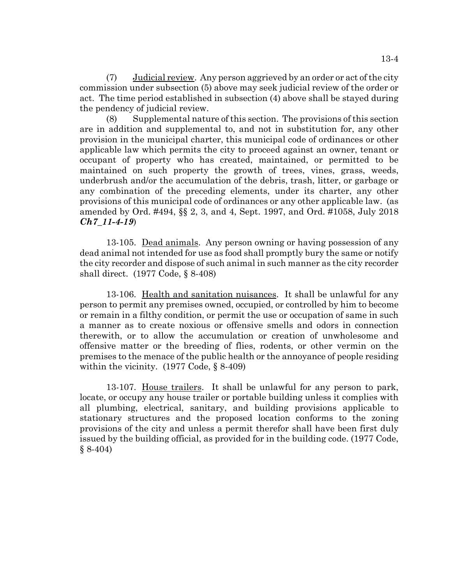(7) Judicial review. Any person aggrieved by an order or act of the city commission under subsection (5) above may seek judicial review of the order or act. The time period established in subsection (4) above shall be stayed during the pendency of judicial review.

(8) Supplemental nature of this section. The provisions of this section are in addition and supplemental to, and not in substitution for, any other provision in the municipal charter, this municipal code of ordinances or other applicable law which permits the city to proceed against an owner, tenant or occupant of property who has created, maintained, or permitted to be maintained on such property the growth of trees, vines, grass, weeds, underbrush and/or the accumulation of the debris, trash, litter, or garbage or any combination of the preceding elements, under its charter, any other provisions of this municipal code of ordinances or any other applicable law. (as amended by Ord. #494, §§ 2, 3, and 4, Sept. 1997, and Ord. #1058, July 2018 *Ch7\_11-4-19*)

13-105. Dead animals. Any person owning or having possession of any dead animal not intended for use as food shall promptly bury the same or notify the city recorder and dispose of such animal in such manner as the city recorder shall direct. (1977 Code, § 8-408)

13-106. Health and sanitation nuisances. It shall be unlawful for any person to permit any premises owned, occupied, or controlled by him to become or remain in a filthy condition, or permit the use or occupation of same in such a manner as to create noxious or offensive smells and odors in connection therewith, or to allow the accumulation or creation of unwholesome and offensive matter or the breeding of flies, rodents, or other vermin on the premises to the menace of the public health or the annoyance of people residing within the vicinity. (1977 Code, § 8-409)

13-107. House trailers. It shall be unlawful for any person to park, locate, or occupy any house trailer or portable building unless it complies with all plumbing, electrical, sanitary, and building provisions applicable to stationary structures and the proposed location conforms to the zoning provisions of the city and unless a permit therefor shall have been first duly issued by the building official, as provided for in the building code. (1977 Code,  $§ 8-404)$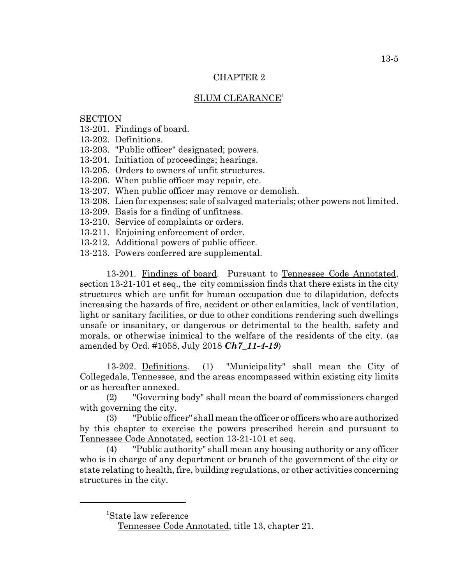# CHAPTER 2

# SLUM CLEARANCE<sup>1</sup>

# **SECTION**

13-201. Findings of board.

13-202. Definitions.

13-203. "Public officer" designated; powers.

13-204. Initiation of proceedings; hearings.

13-205. Orders to owners of unfit structures.

13-206. When public officer may repair, etc.

- 13-207. When public officer may remove or demolish.
- 13-208. Lien for expenses; sale of salvaged materials; other powers not limited.
- 13-209. Basis for a finding of unfitness.
- 13-210. Service of complaints or orders.
- 13-211. Enjoining enforcement of order.
- 13-212. Additional powers of public officer.
- 13-213. Powers conferred are supplemental.

13-201. Findings of board. Pursuant to Tennessee Code Annotated, section 13-21-101 et seq., the city commission finds that there exists in the city structures which are unfit for human occupation due to dilapidation, defects increasing the hazards of fire, accident or other calamities, lack of ventilation, light or sanitary facilities, or due to other conditions rendering such dwellings unsafe or insanitary, or dangerous or detrimental to the health, safety and morals, or otherwise inimical to the welfare of the residents of the city. (as amended by Ord. #1058, July 2018 *Ch7\_11-4-19*)

13-202. Definitions. (1) "Municipality" shall mean the City of Collegedale, Tennessee, and the areas encompassed within existing city limits or as hereafter annexed.

(2) "Governing body" shall mean the board of commissioners charged with governing the city.

(3) "Public officer" shall mean the officer or officers who are authorized by this chapter to exercise the powers prescribed herein and pursuant to Tennessee Code Annotated, section 13-21-101 et seq.

(4) "Public authority" shall mean any housing authority or any officer who is in charge of any department or branch of the government of the city or state relating to health, fire, building regulations, or other activities concerning structures in the city.

<sup>1</sup> State law reference

Tennessee Code Annotated, title 13, chapter 21.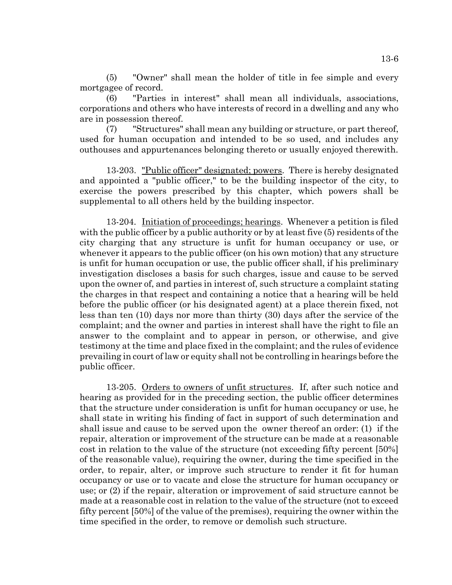(5) "Owner" shall mean the holder of title in fee simple and every mortgagee of record.

(6) "Parties in interest" shall mean all individuals, associations, corporations and others who have interests of record in a dwelling and any who are in possession thereof.

(7) "Structures" shall mean any building or structure, or part thereof, used for human occupation and intended to be so used, and includes any outhouses and appurtenances belonging thereto or usually enjoyed therewith.

13-203. "Public officer" designated; powers. There is hereby designated and appointed a "public officer," to be the building inspector of the city, to exercise the powers prescribed by this chapter, which powers shall be supplemental to all others held by the building inspector.

13-204. Initiation of proceedings; hearings. Whenever a petition is filed with the public officer by a public authority or by at least five (5) residents of the city charging that any structure is unfit for human occupancy or use, or whenever it appears to the public officer (on his own motion) that any structure is unfit for human occupation or use, the public officer shall, if his preliminary investigation discloses a basis for such charges, issue and cause to be served upon the owner of, and parties in interest of, such structure a complaint stating the charges in that respect and containing a notice that a hearing will be held before the public officer (or his designated agent) at a place therein fixed, not less than ten (10) days nor more than thirty (30) days after the service of the complaint; and the owner and parties in interest shall have the right to file an answer to the complaint and to appear in person, or otherwise, and give testimony at the time and place fixed in the complaint; and the rules of evidence prevailing in court of law or equity shall not be controlling in hearings before the public officer.

13-205. Orders to owners of unfit structures. If, after such notice and hearing as provided for in the preceding section, the public officer determines that the structure under consideration is unfit for human occupancy or use, he shall state in writing his finding of fact in support of such determination and shall issue and cause to be served upon the owner thereof an order: (1) if the repair, alteration or improvement of the structure can be made at a reasonable cost in relation to the value of the structure (not exceeding fifty percent [50%] of the reasonable value), requiring the owner, during the time specified in the order, to repair, alter, or improve such structure to render it fit for human occupancy or use or to vacate and close the structure for human occupancy or use; or (2) if the repair, alteration or improvement of said structure cannot be made at a reasonable cost in relation to the value of the structure (not to exceed fifty percent [50%] of the value of the premises), requiring the owner within the time specified in the order, to remove or demolish such structure.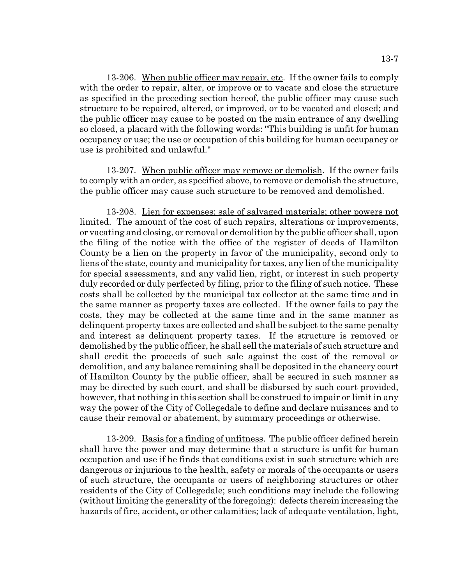13-206. When public officer may repair, etc. If the owner fails to comply with the order to repair, alter, or improve or to vacate and close the structure as specified in the preceding section hereof, the public officer may cause such structure to be repaired, altered, or improved, or to be vacated and closed; and the public officer may cause to be posted on the main entrance of any dwelling so closed, a placard with the following words: "This building is unfit for human occupancy or use; the use or occupation of this building for human occupancy or use is prohibited and unlawful."

13-207. When public officer may remove or demolish. If the owner fails to comply with an order, as specified above, to remove or demolish the structure, the public officer may cause such structure to be removed and demolished.

13-208. Lien for expenses; sale of salvaged materials; other powers not limited. The amount of the cost of such repairs, alterations or improvements, or vacating and closing, or removal or demolition by the public officer shall, upon the filing of the notice with the office of the register of deeds of Hamilton County be a lien on the property in favor of the municipality, second only to liens of the state, county and municipality for taxes, any lien of the municipality for special assessments, and any valid lien, right, or interest in such property duly recorded or duly perfected by filing, prior to the filing of such notice. These costs shall be collected by the municipal tax collector at the same time and in the same manner as property taxes are collected. If the owner fails to pay the costs, they may be collected at the same time and in the same manner as delinquent property taxes are collected and shall be subject to the same penalty and interest as delinquent property taxes. If the structure is removed or demolished by the public officer, he shall sell the materials of such structure and shall credit the proceeds of such sale against the cost of the removal or demolition, and any balance remaining shall be deposited in the chancery court of Hamilton County by the public officer, shall be secured in such manner as may be directed by such court, and shall be disbursed by such court provided, however, that nothing in this section shall be construed to impair or limit in any way the power of the City of Collegedale to define and declare nuisances and to cause their removal or abatement, by summary proceedings or otherwise.

13-209. Basis for a finding of unfitness. The public officer defined herein shall have the power and may determine that a structure is unfit for human occupation and use if he finds that conditions exist in such structure which are dangerous or injurious to the health, safety or morals of the occupants or users of such structure, the occupants or users of neighboring structures or other residents of the City of Collegedale; such conditions may include the following (without limiting the generality of the foregoing): defects therein increasing the hazards of fire, accident, or other calamities; lack of adequate ventilation, light,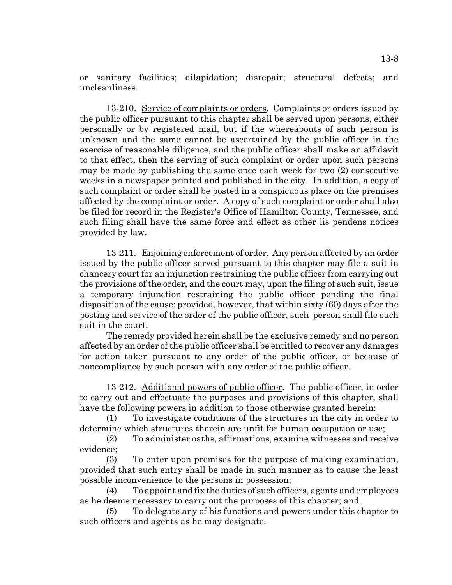or sanitary facilities; dilapidation; disrepair; structural defects; and uncleanliness.

13-210. Service of complaints or orders. Complaints or orders issued by the public officer pursuant to this chapter shall be served upon persons, either personally or by registered mail, but if the whereabouts of such person is unknown and the same cannot be ascertained by the public officer in the exercise of reasonable diligence, and the public officer shall make an affidavit to that effect, then the serving of such complaint or order upon such persons may be made by publishing the same once each week for two (2) consecutive weeks in a newspaper printed and published in the city. In addition, a copy of such complaint or order shall be posted in a conspicuous place on the premises affected by the complaint or order. A copy of such complaint or order shall also be filed for record in the Register's Office of Hamilton County, Tennessee, and such filing shall have the same force and effect as other lis pendens notices provided by law.

13-211. Enjoining enforcement of order. Any person affected by an order issued by the public officer served pursuant to this chapter may file a suit in chancery court for an injunction restraining the public officer from carrying out the provisions of the order, and the court may, upon the filing of such suit, issue a temporary injunction restraining the public officer pending the final disposition of the cause; provided, however, that within sixty (60) days after the posting and service of the order of the public officer, such person shall file such suit in the court.

The remedy provided herein shall be the exclusive remedy and no person affected by an order of the public officer shall be entitled to recover any damages for action taken pursuant to any order of the public officer, or because of noncompliance by such person with any order of the public officer.

13-212. Additional powers of public officer. The public officer, in order to carry out and effectuate the purposes and provisions of this chapter, shall have the following powers in addition to those otherwise granted herein:

(1) To investigate conditions of the structures in the city in order to determine which structures therein are unfit for human occupation or use;

(2) To administer oaths, affirmations, examine witnesses and receive evidence;

(3) To enter upon premises for the purpose of making examination, provided that such entry shall be made in such manner as to cause the least possible inconvenience to the persons in possession;

(4) To appoint and fix the duties of such officers, agents and employees as he deems necessary to carry out the purposes of this chapter; and

(5) To delegate any of his functions and powers under this chapter to such officers and agents as he may designate.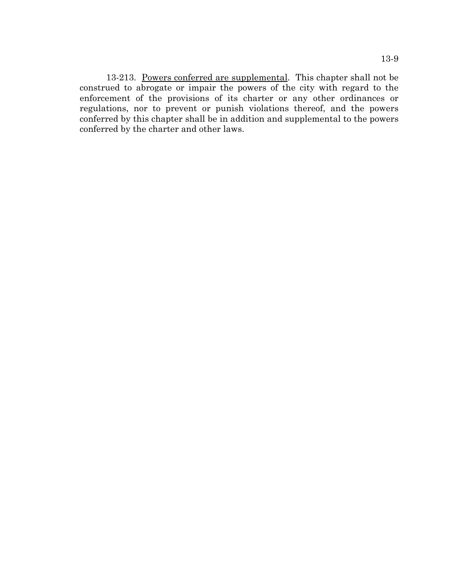13-213. Powers conferred are supplemental. This chapter shall not be construed to abrogate or impair the powers of the city with regard to the enforcement of the provisions of its charter or any other ordinances or regulations, nor to prevent or punish violations thereof, and the powers conferred by this chapter shall be in addition and supplemental to the powers conferred by the charter and other laws.